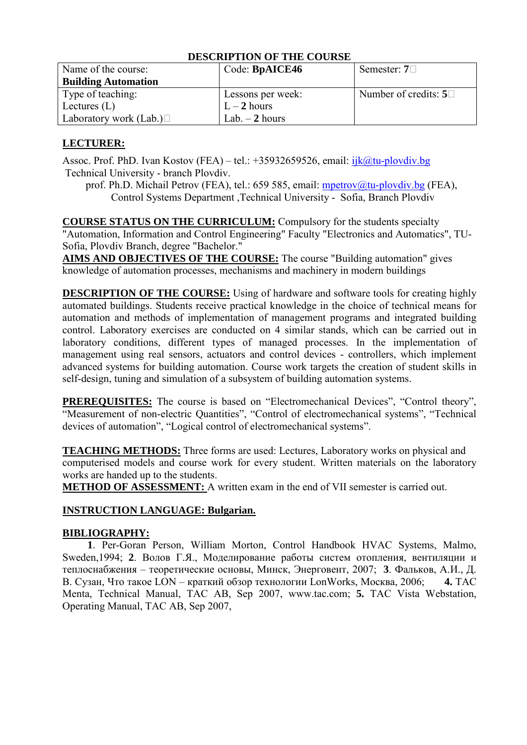| Name of the course:           | Code: BpAICE46    | Semester: $7\Box$             |
|-------------------------------|-------------------|-------------------------------|
| <b>Building Automation</b>    |                   |                               |
| Type of teaching:             | Lessons per week: | Number of credits: $5\square$ |
| Lectures $(L)$                | $L-2$ hours       |                               |
| Laboratory work (Lab.) $\Box$ | Lab. $-2$ hours   |                               |

# **LECTURER:**

Assoc. Prof. PhD. Ivan Kostov (FEA) – tel.: +35932659526, email: [ijk@tu-plovdiv.bg](mailto:ijk@tu-plovdiv.bg) Technical University - branch Plovdiv.

prof. Ph.D. Michail Petrov (FEA), tel.: 659 585, email: [mpetrov@tu-plovdiv.bg](mailto:mpetrov@tu-plovdiv.bg) (FEA), Control Systems Department ,Technical University - Sofia, Branch Plovdiv

**COURSE STATUS ON THE CURRICULUM:** Compulsory for the students specialty "Automation, Information and Control Engineering" Faculty "Electronics and Automatics", TU-Sofia, Plovdiv Branch, degree "Bachelor."

**AIMS AND OBJECTIVES OF THE COURSE:** The course "Building automation" gives knowledge of automation processes, mechanisms and machinery in modern buildings

**DESCRIPTION OF THE COURSE:** Using of hardware and software tools for creating highly automated buildings. Students receive practical knowledge in the choice of technical means for automation and methods of implementation of management programs and integrated building control. Laboratory exercises are conducted on 4 similar stands, which can be carried out in laboratory conditions, different types of managed processes. In the implementation of management using real sensors, actuators and control devices - controllers, which implement advanced systems for building automation. Course work targets the creation of student skills in self-design, tuning and simulation of a subsystem of building automation systems.

**PREREQUISITES:** The course is based on "Electromechanical Devices", "Control theory", "Measurement of non-electric Quantities", "Control of electromechanical systems", "Technical devices of automation", "Logical control of electromechanical systems".

**TEACHING METHODS:** Three forms are used: Lectures, Laboratory works on physical and computerised models and course work for every student. Written materials on the laboratory works are handed up to the students.

**METHOD OF ASSESSMENT:** A written exam in the end of VII semester is carried out.

# **INSTRUCTION LANGUAGE: Bulgarian.**

# **BIBLIOGRAPHY:**

**1**. Per-Goran Person, William Morton, Control Handbook HVAC Systems, Malmo, Sweden,1994; **2**. Волов Г.Я., Моделирование работы систем отопления, вентиляции и теплоснабжения – теоретические основы, Минск, Энерговент, 2007; **3**. Фальков, А.И., Д. В. Сузан, Что такое LON – краткий обзор технологии LonWorks, Москва, 2006; **4.** TAC Menta, Technical Manual, TAC AB, Sep 2007, www.tac.com; **5.** TAC Vista Webstation, Operating Manual, TAC AB, Sep 2007,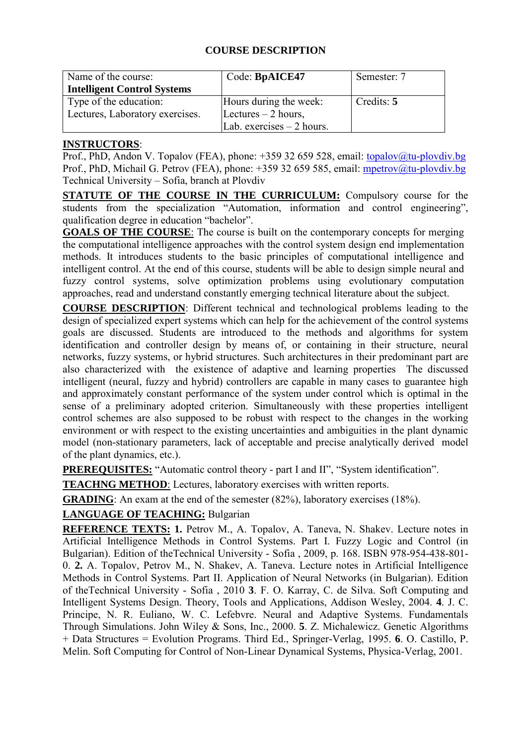# **COURSE DESCRIPTION**

| Name of the course:                | Code: BpAICE47             | Semester: 7 |
|------------------------------------|----------------------------|-------------|
| <b>Intelligent Control Systems</b> |                            |             |
| Type of the education:             | Hours during the week:     | Credits: 5  |
| Lectures, Laboratory exercises.    | Lectures $-2$ hours,       |             |
|                                    | Lab. exercises $-2$ hours. |             |

### **INSTRUCTORS**:

Prof., PhD, Andon V. Topalov (FEA), phone: +359 32 659 528, email: [topalov@tu-plovdiv.bg](mailto:topalov@tu-plovdiv.bg) Prof., PhD, Michail G. Petrov (FEA), phone: +359 32 659 585, email: [mpetrov@tu-plovdiv.bg](mailto:mpetrov@tu-plovdiv.bg) Technical University – Sofia, branch at Plovdiv

**STATUTE OF THE COURSE IN THE CURRICULUM:** Compulsory course for the students from the specialization "Automation, information and control engineering", qualification degree in education "bachelor".

**GOALS OF THE COURSE**: The course is built on the contemporary concepts for merging the computational intelligence approaches with the control system design end implementation methods. It introduces students to the basic principles of computational intelligence and intelligent control. At the end of this course, students will be able to design simple neural and fuzzy control systems, solve optimization problems using evolutionary computation approaches, read and understand constantly emerging technical literature about the subject.

**COURSE DESCRIPTION**: Different technical and technological problems leading to the design of specialized expert systems which can help for the achievement of the control systems goals are discussed. Students are introduced to the methods and algorithms for system identification and controller design by means of, or containing in their structure, neural networks, fuzzy systems, or hybrid structures. Such architectures in their predominant part are also characterized with the existence of adaptive and learning properties The discussed intelligent (neural, fuzzy and hybrid) controllers are capable in many cases to guarantee high and approximately constant performance of the system under control which is optimal in the sense of a preliminary adopted criterion. Simultaneously with these properties intelligent control schemes are also supposed to be robust with respect to the changes in the working environment or with respect to the existing uncertainties and ambiguities in the plant dynamic model (non-stationary parameters, lack of acceptable and precise analytically derived model of the plant dynamics, etc.).

**PREREQUISITES:** "Automatic control theory - part I and II", "System identification".

**TEACHNG METHOD**: Lectures, laboratory exercises with written reports.

**GRADING**: An exam at the end of the semester (82%), laboratory exercises (18%).

**LANGUAGE OF TEACHING:** Bulgarian

**REFERENCE TEXTS: 1.** Petrov M., A. Topalov, A. Taneva, N. Shakev. Lecture notes in Artificial Intelligence Methods in Control Systems. Part I. Fuzzy Logic and Control (in Bulgarian). Edition of theTechnical University - Sofia , 2009, p. 168. ISBN 978-954-438-801- 0. **2.** A. Topalov, Petrov M., N. Shakev, A. Taneva. Lecture notes in Artificial Intelligence Methods in Control Systems. Part II. Application of Neural Networks (in Bulgarian). Edition of theTechnical University - Sofia , 2010 **3**. F. O. Karray, C. de Silva. Soft Computing and Intelligent Systems Design. Theory, Tools and Applications, Addison Wesley, 2004. **4**. J. C. Principe, N. R. Euliano, W. C. Lefebvre. Neural and Adaptive Systems. Fundamentals Through Simulations. John Wiley & Sons, Inc., 2000. **5**. Z. Michalewicz. Genetic Algorithms + Data Structures = Evolution Programs. Third Ed., Springer-Verlag, 1995. **6**. O. Castillo, P. Melin. Soft Computing for Control of Non-Linear Dynamical Systems, Physica-Verlag, 2001.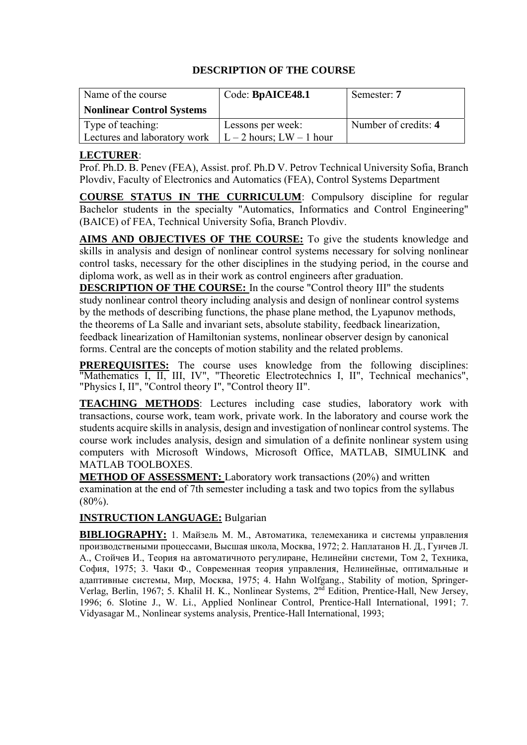| Name of the course               | Code: BpAICE48.1             | Semester: 7          |
|----------------------------------|------------------------------|----------------------|
| <b>Nonlinear Control Systems</b> |                              |                      |
| Type of teaching:                | Lessons per week:            | Number of credits: 4 |
| Lectures and laboratory work     | $L - 2$ hours; $LW - 1$ hour |                      |

# **LECTURER**:

Prof. Ph[.D. B. Penev \(FEA\), Assi](mailto:r.mishkov@gmail.com)st. prof. Ph.D V. Petrov Technical University Sofia, Branch Plovdiv, Faculty of Electronics and Automatics (FEA), Control Systems Department

**COURSE STATUS IN THE CURRICULUM**: Compulsory discipline for regular Bachelor students in the specialty "Automatics, Informatics and Control Engineering" (BAICE) of FEA, Technical University Sofia, Branch Plovdiv.

**AIMS AND OBJECTIVES OF THE COURSE:** To give the students knowledge and skills in analysis and design of nonlinear control systems necessary for solving nonlinear control tasks, necessary for the other disciplines in the studying period, in the course and diploma work, as well as in their work as control engineers after graduation.

**DESCRIPTION OF THE COURSE:** In the course "Control theory III" the students study nonlinear control theory including analysis and design of nonlinear control systems by the methods of describing functions, the phase plane method, the Lyapunov methods, the theorems of La Salle and invariant sets, absolute stability, feedback linearization, feedback linearization of Hamiltonian systems, nonlinear observer design by canonical forms. Central are the concepts of motion stability and the related problems.

**PREREQUISITES:** The course uses knowledge from the following disciplines: "Mathematics I, II, III, IV", "Theoretic Electrotechnics I, II", Technical mechanics", "Physics I, II", "Control theory I", "Control theory II".

**TEACHING METHODS**: Lectures including case studies, laboratory work with transactions, course work, team work, private work. In the laboratory and course work the students acquire skills in analysis, design and investigation of nonlinear control systems. The course work includes analysis, design and simulation of a definite nonlinear system using computers with Microsoft Windows, Microsoft Office, MATLAB, SIMULINK and MATLAB TOOLBOXES.

**METHOD OF ASSESSMENT:** Laboratory work transactions (20%) and written examination at the end of 7th semester including a task and two topics from the syllabus  $(80\%)$ .

## **INSTRUCTION LANGUAGE:** Bulgarian

**BIBLIOGRAPHY:** 1. Майзель М. М., Автоматика, телемеханика и системы управления производствеными процессами, Высшая школа, Москва, 1972; 2. Наплатанов Н. Д., Гунчев Л. А., Стойчев И., Теория на автоматичното регулиране, Нелинейни системи, Том 2, Техника, София, 1975; 3. Чаки Ф., Современная теория управления, Нелинейные, оптимальные и адаптивные системы, Мир, Москва, 1975; 4. Hahn Wolfgang., Stability of motion, Springer-Verlag, Berlin, 1967; 5. Khalil H. K., Nonlinear Systems, 2nd Edition, Prentice-Hall, New Jersey, 1996; 6. Slotine J., W. Li., Applied Nonlinear Control, Prentice-Hall International, 1991; 7. Vidyasagar M., Nonlinear systems analysis, Prentice-Hall International, 1993;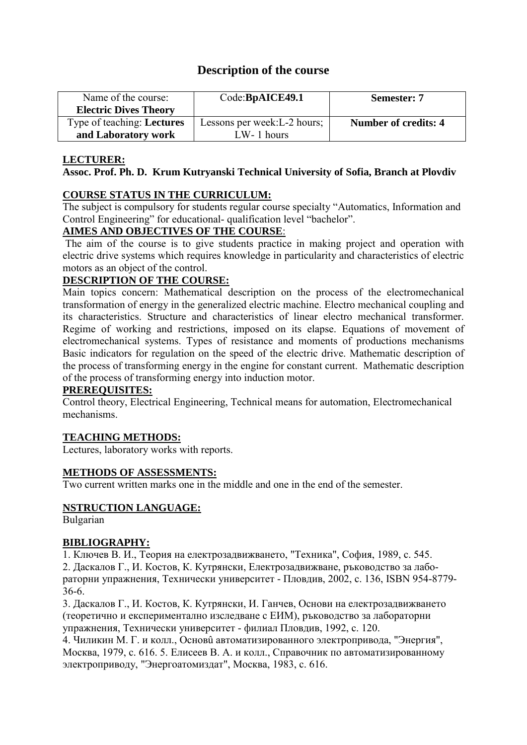# **Description of the course**

| Name of the course:               | Code:BpAICE49.1              | <b>Semester: 7</b>   |
|-----------------------------------|------------------------------|----------------------|
| <b>Electric Dives Theory</b>      |                              |                      |
| Type of teaching: <b>Lectures</b> | Lessons per week: L-2 hours; | Number of credits: 4 |
| and Laboratory work               | $LW-1$ hours                 |                      |

## **LECTURER:**

### **Assoc. Prof. Ph. D. Krum Kutryanski Technical University of Sofia, Branch at Plovdiv**

# **COURSE STATUS IN THE CURRICULUM:**

The subject is compulsory for students regular course specialty "Automatics, Information and Control Engineering" for educational- qualification level "bachelor".

## **AIMES AND OBJECTIVES OF THE COURSE**:

The aim of the course is to give students practice in making project and operation with electric drive systems which requires knowledge in particularity and characteristics of electric motors as an object of the control.

# **DESCRIPTION OF THE COURSE:**

Main topics concern: Mathematical description on the process of the electromechanical transformation of energy in the generalized electric machine. Electro mechanical coupling and its characteristics. Structure and characteristics of linear electro mechanical transformer. Regime of working and restrictions, imposed on its elapse. Equations of movement of electromechanical systems. Types of resistance and moments of productions mechanisms Basic indicators for regulation on the speed of the electric drive. Mathematic description of the process of transforming energy in the engine for constant current. Mathematic description of the process of transforming energy into induction motor.

## **PREREQUISITES:**

Control theory, Electrical Engineering, Technical means for automation, Electromechanical mechanisms.

## **TEACHING METHODS:**

Lectures, laboratory works with reports.

## **METHODS OF ASSESSMENTS:**

Two current written marks one in the middle and one in the end of the semester.

## **NSTRUCTION LANGUAGE:**

Bulgarian

## **BIBLIOGRAPHY:**

1. Ключев В. И., Теория на електрозадвижването, "Техника", София, 1989, с. 545. 2. Даскалов Г., И. Костов, К. Кутрянски, Електрозадвижване, ръководство за лабораторни упражнения, Технически университет - Пловдив, 2002, с. 136, ISBN 954-8779-

36-6.

3. Даскалов Г., И. Костов, К. Кутрянски, И. Ганчев, Основи на електрозадвижването (теоретично и експериментално изследване с ЕИМ), ръководство за лабораторни упражнения, Технически университет - филиал Пловдив, 1992, с. 120.

4. Чиликин М. Г. и колл., Основû автоматизированного электропривода, "Энергия", Москва, 1979, с. 616. 5. Елисеев В. А. и колл., Справочник по автоматизированному электроприводу, "Энергоатомиздат", Москва, 1983, с. 616.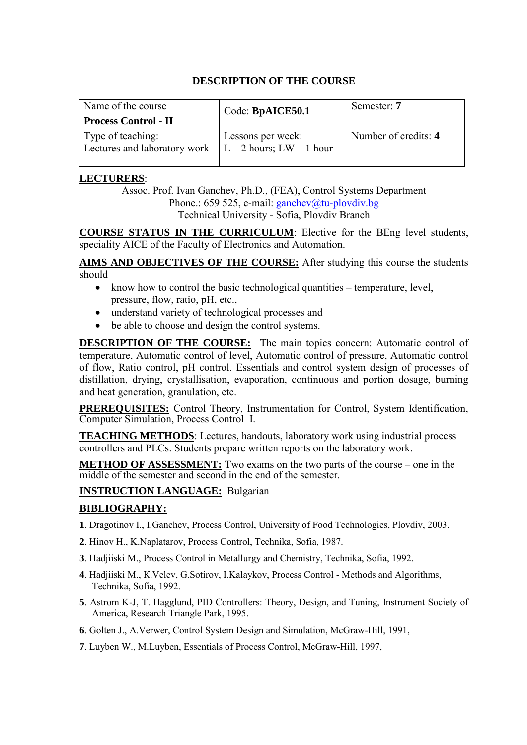| Name of the course<br><b>Process Control - II</b> | Code: BpAICE50.1                                      | Semester: 7          |
|---------------------------------------------------|-------------------------------------------------------|----------------------|
| Type of teaching:<br>Lectures and laboratory work | Lessons per week:<br>$\vert$ L – 2 hours; LW – 1 hour | Number of credits: 4 |

### **LECTURERS**:

Assoc. Prof. Ivan Ganchev, Ph.D., (FEA), Control Systems Department Phone.: 659 525, e-mail:  $\frac{\text{ganchev}}{\text{@tu-plovdiv}}$ .bg Technical University - Sofia, Plovdiv Branch

**COURSE STATUS IN THE CURRICULUM**: Elective for the BEng level students, speciality AICE of the Faculty of Electronics and Automation.

**AIMS AND OBJECTIVES OF THE COURSE:** After studying this course the students should

- know how to control the basic technological quantities temperature, level, pressure, flow, ratio, pH, etc.,
- understand variety of technological processes and
- be able to choose and design the control systems.

**DESCRIPTION OF THE COURSE:** The main topics concern: Automatic control of temperature, Automatic control of level, Automatic control of pressure, Automatic control of flow, Ratio control, pH control. Essentials and control system design of processes of distillation, drying, crystallisation, evaporation, continuous and portion dosage, burning and heat generation, granulation, etc.

**PREREQUISITES:** Control Theory, Instrumentation for Control, System Identification, Computer Simulation, Process Control I.

**TEACHING METHODS**: Lectures, handouts, laboratory work using industrial process controllers and PLCs. Students prepare written reports on the laboratory work.

**METHOD OF ASSESSMENT:** Two exams on the two parts of the course – one in the middle of the semester and second in the end of the semester.

## **INSTRUCTION LANGUAGE:** Bulgarian

# **BIBLIOGRAPHY:**

- **1**. Dragotinov I., I.Ganchev, Process Control, University of Food Technologies, Plovdiv, 2003.
- **2**. Hinov H., K.Naplatarov, Process Control, Technika, Sofia, 1987.
- **3**. Hadjiiski M., Process Control in Metallurgy and Chemistry, Technika, Sofia, 1992.
- **4**. Hadjiiski M., К.Velev, G.Sotirov, I.Kalaykov, Process Control Methods and Algorithms, Technika, Sofia, 1992.
- **5**. Astrom K-J, T. Hagglund, PID Controllers: Theory, Design, and Tuning, Instrument Society of America, Research Triangle Park, 1995.
- **6**. Golten J., A.Verwer, Control System Design and Simulation, McGraw-Hill, 1991,
- **7**. Luyben W., M.Luyben, Essentials of Process Control, McGraw-Hill, 1997,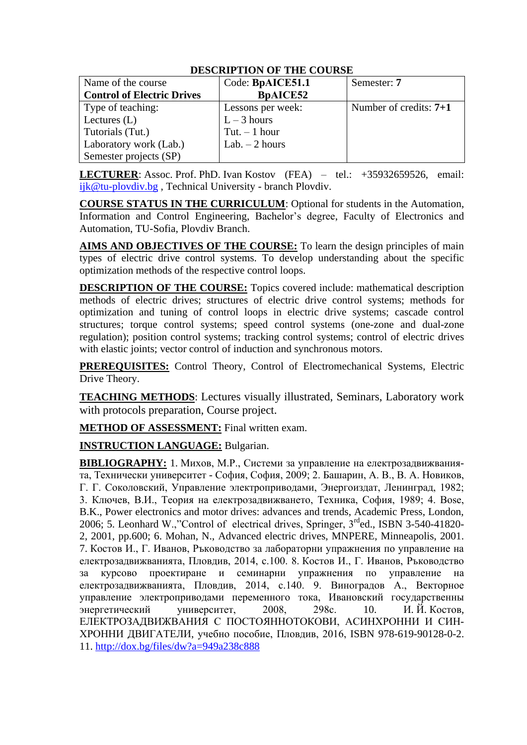| Name of the course                | Code: BpAICE51.1  | Semester: 7              |
|-----------------------------------|-------------------|--------------------------|
| <b>Control of Electric Drives</b> | <b>BpAICE52</b>   |                          |
| Type of teaching:                 | Lessons per week: | Number of credits: $7+1$ |
| Lectures $(L)$                    | $L-3$ hours       |                          |
| Tutorials (Tut.)                  | Tut. $-1$ hour    |                          |
| Laboratory work (Lab.)            | Lab. $-2$ hours   |                          |
| Semester projects (SP)            |                   |                          |

**LECTURER**: Assoc. Prof. PhD. Ivan Kostov (FEA) – tel.: +35932659526, email: ijk@tu-plovdiv.bg , Technical University - branch Plovdiv.

**COURSE STATUS IN THE CURRICULUM**: Optional for students in the Automation, Information and Control Engineering, Bachelor's degree, Faculty of Electronics and Automation, TU-Sofia, Plovdiv Branch.

**AIMS AND OBJECTIVES OF THE COURSE:** To learn the design principles of main types of electric drive control systems. To develop understanding about the specific optimization methods of the respective control loops.

**DESCRIPTION OF THE COURSE:** Topics covered include: mathematical description methods of electric drives; structures of electric drive control systems; methods for optimization and tuning of control loops in electric drive systems; cascade control structures; torque control systems; speed control systems (one-zone and dual-zone regulation); position control systems; tracking control systems; control of electric drives with elastic joints; vector control of induction and synchronous motors.

**PREREQUISITES:** Control Theory, Control of Electromechanical Systems, Electric Drive Theory.

**TEACHING METHODS**: Lectures visually illustrated, Seminars, Laboratory work with protocols preparation, Course project.

**METHOD OF ASSESSMENT:** Final written exam.

**INSTRUCTION LANGUAGE:** Bulgarian.

**BIBLIOGRAPHY:** 1. Михов, М.Р., Системи за управление на електрозадвижванията, Технически университет - София, София, 2009; 2. Башарин, А. В., В. А. Новиков, Г. Г. Соколовский, Управление электроприводами, Энергоиздат, Ленинград, 1982; 3. Ключев, В.И., Теория на електрозадвижването, Техника, София, 1989; 4. Bose, B.K., Power electronics and motor drives: advances and trends, Academic Press, London, 2006; 5. Leonhard W.,"Control of electrical drives, Springer, 3rded., ISBN 3-540-41820- 2, 2001, pp.600; 6. Mohan, N., Advanced electric drives, MNPERE, Minneapolis, 2001. 7. Костов И., Г. Иванов, Ръководство за лабораторни упражнения по управление на електрозадвижванията, Пловдив, 2014, с.100. 8. Костов И., Г. Иванов, Ръководство за курсово проектиране и семинарни упражнения по управление на електрозадвижванията, Пловдив, 2014, с.140. 9. Виноградов А., Векторное управление электроприводами переменного тока, Ивановский государственны энергетический университет, 2008, 298с. 10. И. Й. Костов, ЕЛЕКТРОЗАДВИЖВАНИЯ С ПОСТОЯННОТОКОВИ, АСИНХРОННИ И СИН-ХРОННИ ДВИГАТЕЛИ, учебно пособие, Пловдив, 2016, ISBN 978-619-90128-0-2. 11.<http://dox.bg/files/dw?a=949a238c888>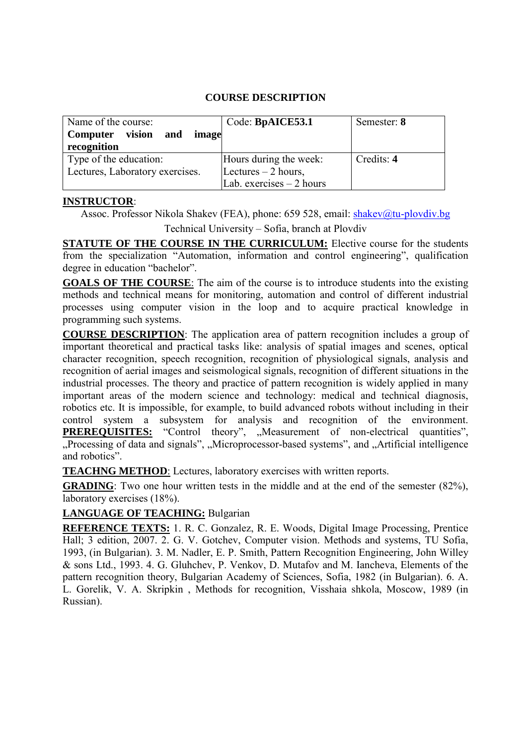## **COURSE DESCRIPTION**

| Name of the course:<br>Computer vision<br>$\cdot$ and $\cdot$<br>image<br>recognition | Code: BpAICE53.1          | Semester: 8 |
|---------------------------------------------------------------------------------------|---------------------------|-------------|
| Type of the education:                                                                | Hours during the week:    | Credits: 4  |
| Lectures, Laboratory exercises.                                                       | Lectures $-2$ hours,      |             |
|                                                                                       | Lab. exercises $-2$ hours |             |

### **INSTRUCTOR**:

Assoc. Professor Nikola Shakev (FEA), phone: 659 528, email: [shakev@tu-plovdiv.bg](mailto:shakev@tu-plovdiv.bg)

Technical University – Sofia, branch at Plovdiv

**STATUTE OF THE COURSE IN THE CURRICULUM:** Elective course for the students from the specialization "Automation, information and control engineering", qualification degree in education "bachelor".

**GOALS OF THE COURSE**: The aim of the course is to introduce students into the existing methods and technical means for monitoring, automation and control of different industrial processes using computer vision in the loop and to acquire practical knowledge in programming such systems.

**COURSE DESCRIPTION**: The application area of pattern recognition includes a group of important theoretical and practical tasks like: analysis of spatial images and scenes, optical character recognition, speech recognition, recognition of physiological signals, analysis and recognition of aerial images and seismological signals, recognition of different situations in the industrial processes. The theory and practice of pattern recognition is widely applied in many important areas of the modern science and technology: medical and technical diagnosis, robotics etc. It is impossible, for example, to build advanced robots without including in their control system a subsystem for analysis and recognition of the environment. **PREREQUISITES:** "Control theory", "Measurement of non-electrical quantities", "Processing of data and signals", "Microprocessor-based systems", and "Artificial intelligence and robotics".

**TEACHNG METHOD**: Lectures, laboratory exercises with written reports.

**GRADING**: Two one hour written tests in the middle and at the end of the semester (82%), laboratory exercises (18%).

## **LANGUAGE OF TEACHING:** Bulgarian

**REFERENCE TEXTS:** 1. R. C. Gonzalez, R. E. Woods, Digital Image Processing, Prentice Hall; 3 edition, 2007. 2. G. V. Gotchev, Computer vision. Methods and systems, TU Sofia, 1993, (in Bulgarian). 3. M. Nadler, E. P. Smith, Pattern Recognition Engineering, John Willey & sons Ltd., 1993. 4. G. Gluhchev, P. Venkov, D. Mutafov and M. Iancheva, Elements of the pattern recognition theory, Bulgarian Academy of Sciences, Sofia, 1982 (in Bulgarian). 6. A. L. Gorelik, V. A. Skripkin , Methods for recognition, Visshaia shkola, Moscow, 1989 (in Russian).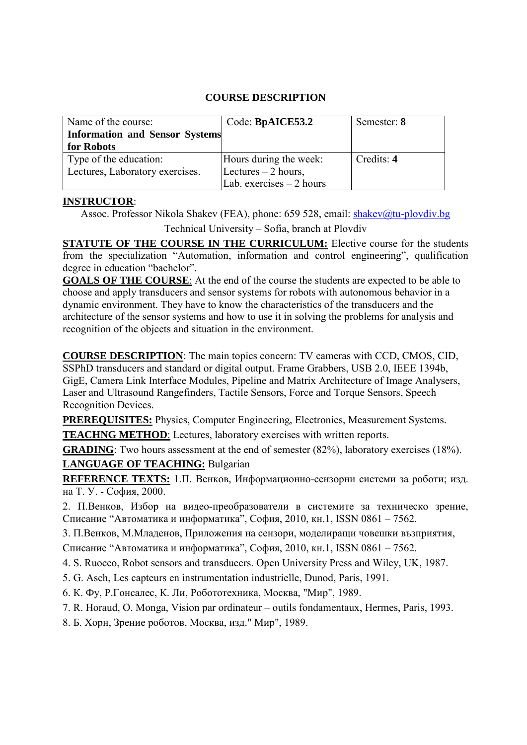# **COURSE DESCRIPTION**

| Name of the course:                   | Code: BpAICE53.2          | Semester: 8 |
|---------------------------------------|---------------------------|-------------|
| <b>Information and Sensor Systems</b> |                           |             |
| for Robots                            |                           |             |
| Type of the education:                | Hours during the week:    | Credits: 4  |
| Lectures, Laboratory exercises.       | Lectures $-2$ hours,      |             |
|                                       | Lab. exercises $-2$ hours |             |

## **INSTRUCTOR**:

Assoc. Professor Nikola Shakev (FEA), phone: 659 528, email: [shakev@tu-plovdiv.bg](mailto:shakev@tu-plovdiv.bg)

Technical University – Sofia, branch at Plovdiv

**STATUTE OF THE COURSE IN THE CURRICULUM:** Elective course for the students from the specialization "Automation, information and control engineering", qualification degree in education "bachelor".

**GOALS OF THE COURSE**: At the end of the course the students are expected to be able to choose and apply transducers and sensor systems for robots with autonomous behavior in a dynamic environment. They have to know the characteristics of the transducers and the architecture of the sensor systems and how to use it in solving the problems for analysis and recognition of the objects and situation in the environment.

**COURSE DESCRIPTION**: The main topics concern: TV cameras with CCD, CMOS, CID, SSPhD transducers and standard or digital output. Frame Grabbers, USB 2.0, IEEE 1394b, GigE, Camera Link Interface Modules, Pipeline and Matrix Architecture of Image Analysers, Laser and Ultrasound Rangefinders, Tactile Sensors, Force and Torque Sensors, Speech Recognition Devices.

**PREREQUISITES:** Physics, Computer Engineering, Electronics, Measurement Systems.

**TEACHNG METHOD**: Lectures, laboratory exercises with written reports.

**GRADING**: Two hours assessment at the end of semester (82%), laboratory exercises (18%).

## **LANGUAGE OF TEACHING:** Bulgarian

**REFERENCE TEXTS:** 1.П. Венков, Информационно-сензорни системи за роботи; изд. на Т. У. - София, 2000.

2. П.Венков, Избор на видео-преобразователи в системите за техническо зрение, Списание "Автоматика и информатика", София, 2010, кн.1, ISSN 0861 – 7562.

3. П.Венков, М.Младенов, Приложения на сензори, моделиращи човешки възприятия,

Списание "Автоматика и информатика", София, 2010, кн.1, ISSN 0861 – 7562.

4. S. Ruocco, Robot sensors and transducers. Open University Press and Wiley, UK, 1987.

5. G. Asch, Les capteurs en instrumentation industrielle, Dunod, Paris, 1991.

6. К. Фу, Р.Гонсалес, К. Ли, Робототехника, Москва, "Мир", 1989.

7. R. Horaud, O. Monga, Vision par ordinateur – outils fondamentaux, Hermes, Paris, 1993.

8. Б. Хорн, Зрение роботов, Москва, изд." Мир", 1989.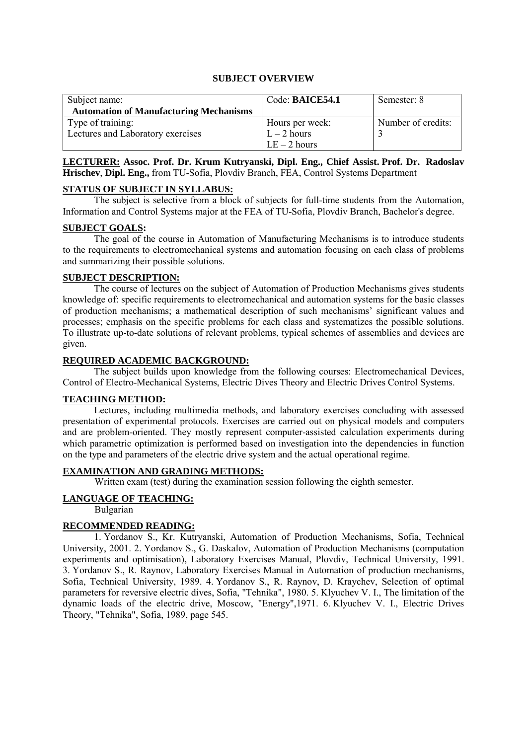#### **SUBJECT OVERVIEW**

| Subject name:                                 | Code: BAICE54.1 | Semester: 8        |
|-----------------------------------------------|-----------------|--------------------|
| <b>Automation of Manufacturing Mechanisms</b> |                 |                    |
| Type of training:                             | Hours per week: | Number of credits: |
| Lectures and Laboratory exercises             | $L - 2$ hours   |                    |
|                                               | $LE-2$ hours    |                    |

**LECTURER: Assoc. Prof. Dr. Krum Kutryanski, Dipl. Eng., Chief Assist. Prof. Dr. Radoslav Hrischev**, **Dipl. Eng.,** from TU-Sofia, Plovdiv Branch, FEA, Control Systems Department

#### **STATUS OF SUBJECT IN SYLLABUS:**

The subject is selective from a block of subjects for full-time students from the Automation, Information and Control Systems major at the FEA of TU-Sofia, Plovdiv Branch, Bachelor's degree.

#### **SUBJECT GOALS:**

The goal of the course in Automation of Manufacturing Mechanisms is to introduce students to the requirements to electromechanical systems and automation focusing on each class of problems and summarizing their possible solutions.

#### **SUBJECT DESCRIPTION:**

The course of lectures on the subject of Automation of Production Mechanisms gives students knowledge of: specific requirements to electromechanical and automation systems for the basic classes of production mechanisms; a mathematical description of such mechanisms' significant values and processes; emphasis on the specific problems for each class and systematizes the possible solutions. To illustrate up-to-date solutions of relevant problems, typical schemes of assemblies and devices are given.

#### **REQUIRED ACADEMIC BACKGROUND:**

The subject builds upon knowledge from the following courses: Electromechanical Devices, Control of Electro-Mechanical Systems, Electric Dives Theory and Electric Drives Control Systems.

#### **TEACHING METHOD:**

Lectures, including multimedia methods, and laboratory exercises concluding with assessed presentation of experimental protocols. Exercises are carried out on physical models and computers and are problem-oriented. They mostly represent computer-assisted calculation experiments during which parametric optimization is performed based on investigation into the dependencies in function on the type and parameters of the electric drive system and the actual operational regime.

#### **EXAMINATION AND GRADING METHODS:**

Written exam (test) during the examination session following the eighth semester.

#### **LANGUAGE OF TEACHING:**

Bulgarian

#### **RECOMMENDED READING:**

1. Yordanov S., Kr. Kutryanski, Automation of Production Mechanisms, Sofia, Technical University, 2001. 2. Yordanov S., G. Daskalov, Automation of Production Mechanisms (computation experiments and optimisation), Laboratory Exercises Manual, Plovdiv, Technical University, 1991. 3. Yordanov S., R. Raynov, Laboratory Exercises Manual in Automation of production mechanisms, Sofia, Technical University, 1989. 4. Yordanov S., R. Raynov, D. Kraychev, Selection of optimal parameters for reversive electric dives, Sofia, "Tehnika", 1980. 5. Klyuchev V. I., The limitation of the dynamic loads of the electric drive, Moscow, "Energy",1971. 6. Klyuchev V. I., Electric Drives Theory, "Tehnika", Sofia, 1989, page 545.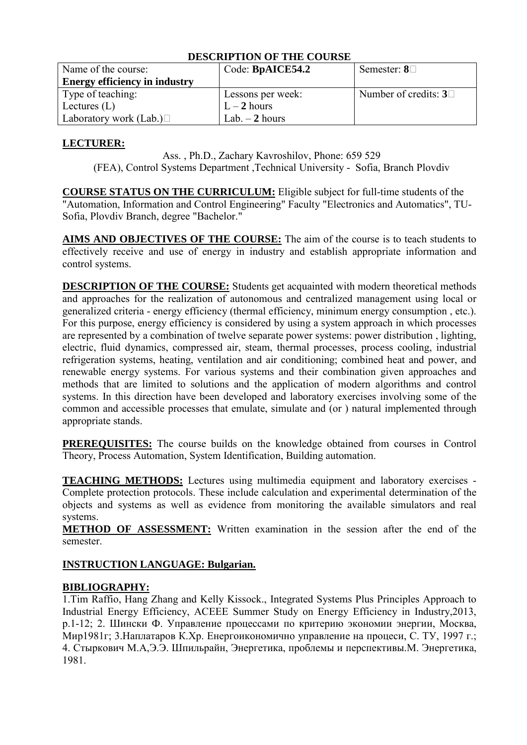| DESCAM TION OF THE COUNSE            |                   |                            |
|--------------------------------------|-------------------|----------------------------|
| Name of the course:                  | Code: BpAICE54.2  | Semester: $8\Box$          |
| <b>Energy efficiency in industry</b> |                   |                            |
| Type of teaching:                    | Lessons per week: | Number of credits: $3\Box$ |
| Lectures $(L)$                       | $L-2$ hours       |                            |
| Laboratory work (Lab.) $\Box$        | Lab. $-2$ hours   |                            |

## **LECTURER:**

Ass. , Ph.D., Zachary Kavroshilov, Phone: 659 529 (FEA), Control Systems Department ,Technical University - Sofia, Branch Plovdiv

**COURSE STATUS ON THE CURRICULUM:** Eligible subject for full-time students of the "Automation, Information and Control Engineering" Faculty "Electronics and Automatics", TU-Sofia, Plovdiv Branch, degree "Bachelor."

**AIMS AND OBJECTIVES OF THE COURSE:** The aim of the course is to teach students to effectively receive and use of energy in industry and establish appropriate information and control systems.

**DESCRIPTION OF THE COURSE:** Students get acquainted with modern theoretical methods and approaches for the realization of autonomous and centralized management using local or generalized criteria - energy efficiency (thermal efficiency, minimum energy consumption , etc.). For this purpose, energy efficiency is considered by using a system approach in which processes are represented by a combination of twelve separate power systems: power distribution , lighting, electric, fluid dynamics, compressed air, steam, thermal processes, process cooling, industrial refrigeration systems, heating, ventilation and air conditioning; combined heat and power, and renewable energy systems. For various systems and their combination given approaches and methods that are limited to solutions and the application of modern algorithms and control systems. In this direction have been developed and laboratory exercises involving some of the common and accessible processes that emulate, simulate and (or ) natural implemented through appropriate stands.

**PREREQUISITES:** The course builds on the knowledge obtained from courses in Control Theory, Process Automation, System Identification, Building automation.

**TEACHING METHODS:** Lectures using multimedia equipment and laboratory exercises - Complete protection protocols. These include calculation and experimental determination of the objects and systems as well as evidence from monitoring the available simulators and real systems.

**METHOD OF ASSESSMENT:** Written examination in the session after the end of the semester.

#### **INSTRUCTION LANGUAGE: Bulgarian.**

#### **BIBLIOGRAPHY:**

1.Tim Raffio, Hang Zhang and Kelly Kissock., Integrated Systems Plus Principles Approach to Industrial Energy Efficiency, ACEEE Summer Study on Energy Efficiency in Industry,2013, p.1-12; 2. Шински Ф. Управление процессами по критерию экономии энергии, Москва, Мир1981г; 3.Наплатаров К.Хр. Енергоикономично управление на процеси, С. ТУ, 1997 г.; 4. Стыркович М.А,Э.Э. Шпильрайн, Энергетика, проблемы и перспективы.М. Энергетика, 1981.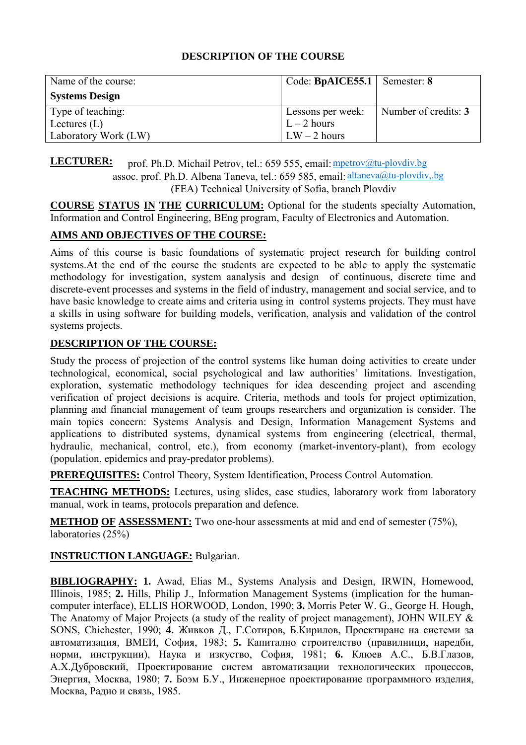| Name of the course:   | Code: BpAICE55.1   Semester: 8 |                      |
|-----------------------|--------------------------------|----------------------|
| <b>Systems Design</b> |                                |                      |
| Type of teaching:     | Lessons per week:              | Number of credits: 3 |
| Lectures $(L)$        | $L-2$ hours                    |                      |
| Laboratory Work (LW)  | $LW - 2$ hours                 |                      |

**LECTURER:** prof. Ph.D. Michail Petrov, tel.: 659 555, email: mpetrov@tu-plovdiv.bg assoc. prof. Ph.D. Albena Taneva, tel.: 659 585, email: altaneva@tu-plovdiv,.bg (FEA) Technical University of Sofia, branch Plovdiv

**COURSE STATUS IN THE CURRICULUM:** Optional for the students specialty Automation, Information and Control Engineering, BEng program, Faculty of Electronics and Automation.

# **AIMS AND OBJECTIVES OF THE COURSE:**

Aims of this course is basic foundations of systematic project research for building control systems.At the end of the course the students are expected to be able to apply the systematic methodology for investigation, system aanalysis and design of continuous, discrete time and discrete-event processes and systems in the field of industry, management and social service, and to have basic knowledge to create aims and criteria using in control systems projects. They must have a skills in using software for building models, verification, analysis and validation of the control systems projects.

# **DESCRIPTION OF THE COURSE:**

Study the process of projection of the control systems like human doing activities to create under technological, economical, social psychological and law authorities' limitations. Investigation, exploration, systematic methodology techniques for idea descending project and ascending verification of project decisions is acquire. Criteria, methods and tools for project optimization, planning and financial management of team groups researchers and organization is consider. The main topics concern: Systems Analysis and Design, Information Management Systems and applications to distributed systems, dynamical systems from engineering (electrical, thermal, hydraulic, mechanical, control, etc.), from economy (market-inventory-plant), from ecology (population, epidemics and pray-predator problems).

**PREREQUISITES:** Control Theory, System Identification, Process Control Automation.

**TEACHING METHODS:** Lectures, using slides, case studies, laboratory work from laboratory manual, work in teams, protocols preparation and defence.

**METHOD OF ASSESSMENT:** Two one-hour assessments at mid and end of semester (75%), laboratories (25%)

**INSTRUCTION LANGUAGE:** Bulgarian.

**BIBLIOGRAPHY: 1.** Awad, Elias M., Systems Analysis and Design, IRWIN, Homewood, Illinois, 1985; **2.** Hills, Philip J., Information Management Systems (implication for the humancomputer interface), ELLIS HORWOOD, London, 1990; **3.** Morris Peter W. G., George H. Hough, The Anatomy of Major Projects (a study of the reality of project management), JOHN WILEY & SONS, Chichester, 1990; **4.** Живков Д., Г.Сотиров, Б.Кирилов, Проектиране на системи за автоматизация, ВМЕИ, София, 1983; **5.** Капитално строителство (правилници, наредби, норми, инструкции), Наука и изкуство, София, 1981; **6.** Клюев А.С., Б.В.Глазов, А.Х.Дубровский, Проектирование систем автоматизации технологических процессов, Энергия, Москва, 1980; **7.** Боэм Б.У., Инженерное проектирование программного изделия, Москва, Радио и связь, 1985.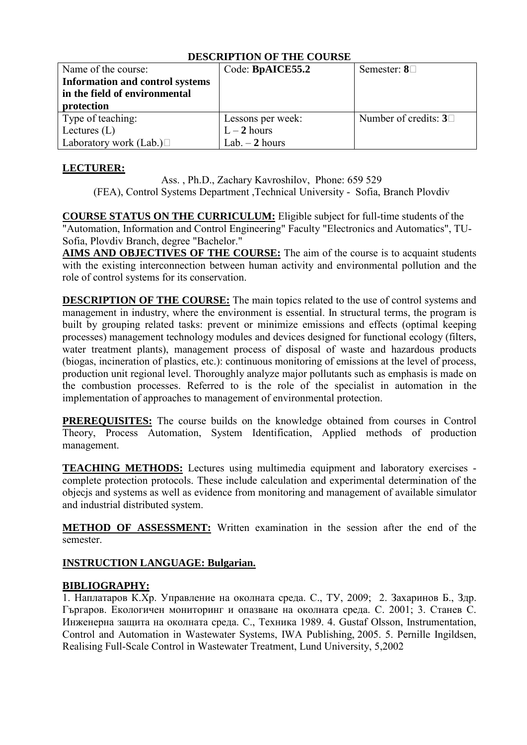| Name of the course:                    | Code: BpAICE55.2  | Semester: $8\Box$             |
|----------------------------------------|-------------------|-------------------------------|
| <b>Information and control systems</b> |                   |                               |
| in the field of environmental          |                   |                               |
| protection                             |                   |                               |
| Type of teaching:                      | Lessons per week: | Number of credits: $3\square$ |
| Lectures $(L)$                         | $L-2$ hours       |                               |
| Laboratory work (Lab.) $\Box$          | Lab. $-2$ hours   |                               |

# **LECTURER:**

Ass. , Ph.D., Zachary Kavroshilov, Phone: 659 529

(FEA), Control Systems Department ,Technical University - Sofia, Branch Plovdiv

**COURSE STATUS ON THE CURRICULUM:** Eligible subject for full-time students of the "Automation, Information and Control Engineering" Faculty "Electronics and Automatics", TU-Sofia, Plovdiv Branch, degree "Bachelor."

**AIMS AND OBJECTIVES OF THE COURSE:** The aim of the course is to acquaint students with the existing interconnection between human activity and environmental pollution and the role of control systems for its conservation.

**DESCRIPTION OF THE COURSE:** The main topics related to the use of control systems and management in industry, where the environment is essential. In structural terms, the program is built by grouping related tasks: prevent or minimize emissions and effects (optimal keeping processes) management technology modules and devices designed for functional ecology (filters, water treatment plants), management process of disposal of waste and hazardous products (biogas, incineration of plastics, etc.): continuous monitoring of emissions at the level of process, production unit regional level. Thoroughly analyze major pollutants such as emphasis is made on the combustion processes. Referred to is the role of the specialist in automation in the implementation of approaches to management of environmental protection.

**PREREQUISITES:** The course builds on the knowledge obtained from courses in Control Theory, Process Automation, System Identification, Applied methods of production management.

**TEACHING METHODS:** Lectures using multimedia equipment and laboratory exercises complete protection protocols. These include calculation and experimental determination of the objecjs and systems as well as evidence from monitoring and management of available simulator and industrial distributed system.

**METHOD OF ASSESSMENT:** Written examination in the session after the end of the semester.

# **INSTRUCTION LANGUAGE: Bulgarian.**

## **BIBLIOGRAPHY:**

1. Наплатаров К.Хр. Управление на околната среда. С., ТУ, 2009; 2. Захаринов Б., Здр. Гъргаров. Екологичен мониторинг и опазване на околната среда. С. 2001; 3. Станев С. Инженерна защита на околната среда. С., Техника 1989. 4. Gustaf Olsson, Instrumentation, Control and Automation in Wastewater Systems, IWA Publishing, 2005. 5. Pernille Ingildsen, Realising Full-Scale Control in Wastewater Treatment, Lund University, 5,2002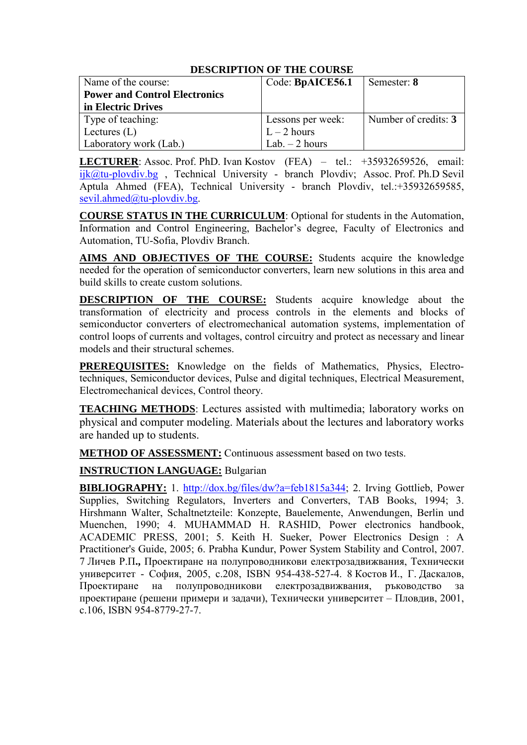| Name of the course:                  | Code: BpAICE56.1  | Semester: 8          |
|--------------------------------------|-------------------|----------------------|
| <b>Power and Control Electronics</b> |                   |                      |
| in Electric Drives                   |                   |                      |
| Type of teaching:                    | Lessons per week: | Number of credits: 3 |
| Lectures $(L)$                       | $L - 2$ hours     |                      |
| Laboratory work (Lab.)               | Lab. $-2$ hours   |                      |

**LECTURER**: Assoc. Prof. PhD. Ivan Kostov (FEA) – tel.: +35932659526, email: ijk@tu-plovdiv.bg, Technical University - branch Plovdiv; Assoc. Prof. Ph.D Sevil Aptula Ahmed (FEA), Technical University - branch Plovdiv, tel.:+35932659585, [sevil.ahmed@tu-plovdiv.bg.](mailto:sevil.ahmed@tu-plovdiv.bg)

**COURSE STATUS IN THE CURRICULUM**: Optional for students in the Automation, Information and Control Engineering, Bachelor's degree, Faculty of Electronics and Automation, TU-Sofia, Plovdiv Branch.

**AIMS AND OBJECTIVES OF THE COURSE:** Students acquire the knowledge needed for the operation of semiconductor converters, learn new solutions in this area and build skills to create custom solutions.

**DESCRIPTION OF THE COURSE:** Students acquire knowledge about the transformation of electricity and process controls in the elements and blocks of semiconductor converters of electromechanical automation systems, implementation of control loops of currents and voltages, control circuitry and protect as necessary and linear models and their structural schemes.

**PREREQUISITES:** Knowledge on the fields of Mathematics, Physics, Electrotechniques, Semiconductor devices, Pulse and digital techniques, Electrical Measurement, Electromechanical devices, Control theory.

**TEACHING METHODS**: Lectures assisted with multimedia; laboratory works on physical and computer modeling. Materials about the lectures and laboratory works are handed up to students.

**METHOD OF ASSESSMENT:** Continuous assessment based on two tests.

**INSTRUCTION LANGUAGE:** Bulgarian

**BIBLIOGRAPHY:** 1. [http://dox.bg/files/dw?a=feb1815a344;](http://dox.bg/files/dw?a=feb1815a344) 2. Irving Gottlieb, Power Supplies, Switching Regulators, Inverters and Converters, TAB Books, 1994; 3. Hirshmann Walter, Schaltnetzteile: Konzepte, Bauelemente, Anwendungen, Berlin und Muenchen, 1990; 4. MUHAMMAD H. RASHID, Power electronics handbook, ACADEMIC PRESS, 2001; 5. Keith H. Sueker, Power Electronics Design : A Practitioner's Guide, 2005; 6. Prabha Kundur, Power System Stability and Control, 2007. 7 Личев Р.П**.,** Проектиране на полупроводникови електрозадвижвания, Технически университет - София, 2005, с.208, ISBN 954-438-527-4. 8 Костов И., Г. Даскалов, Проектиране на полупроводникови електрозадвижвания, ръководство за проектиране (решени примери и задачи), Технически университет – Пловдив, 2001, с.106, ISBN 954-8779-27-7.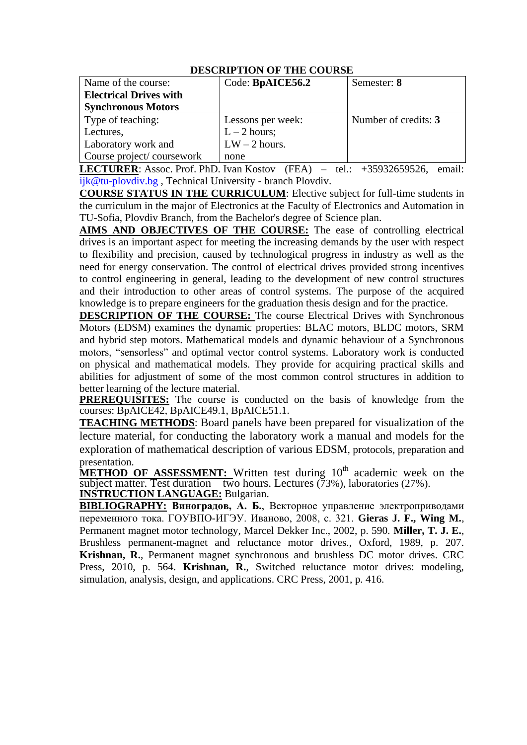| Name of the course:           | Code: BpAICE56.2  | Semester: 8          |
|-------------------------------|-------------------|----------------------|
| <b>Electrical Drives with</b> |                   |                      |
| <b>Synchronous Motors</b>     |                   |                      |
| Type of teaching:             | Lessons per week: | Number of credits: 3 |
| Lectures,                     | $L - 2$ hours;    |                      |
| Laboratory work and           | $LW - 2$ hours.   |                      |
| Course project/coursework     | none              |                      |

**LECTURER**: Assoc. Prof. PhD. Ivan Kostov (FEA) – tel.: +35932659526, email: ijk@tu-plovdiv.bg , Technical University - branch Plovdiv.

**COURSE STATUS IN THE CURRICULUM**: Elective subject for full-time students in the curriculum in the major of Electronics at the Faculty of Electronics and Automation in TU-Sofia, Plovdiv Branch, from the Bachelor's degree of Science plan.

**AIMS AND OBJECTIVES OF THE COURSE:** The ease of controlling electrical drives is an important aspect for meeting the increasing demands by the user with respect to flexibility and precision, caused by technological progress in industry as well as the need for energy conservation. The control of electrical drives provided strong incentives to control engineering in general, leading to the development of new control structures and their introduction to other areas of control systems. The purpose of the acquired knowledge is to prepare engineers for the graduation thesis design and for the practice.

**DESCRIPTION OF THE COURSE:** The course Electrical Drives with Synchronous Motors (EDSM) examines the dynamic properties: BLAC motors, BLDC motors, SRM and hybrid step motors. Mathematical models and dynamic behaviour of a Synchronous motors, "sensorless" and optimal vector control systems. Laboratory work is conducted on physical and mathematical models. They provide for acquiring practical skills and abilities for adjustment of some of the most common control structures in addition to better learning of the lecture material.

**PREREQUISITES:** The course is conducted on the basis of knowledge from the courses: BpAICE42, BpAICE49.1, BpAICE51.1.

**TEACHING METHODS**: Board panels have been prepared for visualization of the lecture material, for conducting the laboratory work a manual and models for the exploration of mathematical description of various EDSM, protocols, preparation and presentation.

**METHOD OF ASSESSMENT:** Written test during 10<sup>th</sup> academic week on the subject matter. Test duration – two hours. Lectures  $(73%)$ , laboratories (27%). **INSTRUCTION LANGUAGE:** Bulgarian.

**BIBLIOGRAPHY: Виноградов, А. Б.**, Векторное управление электроприводами переменного тока. ГОУВПО-ИГЭУ. Иваново, 2008, с. 321. **Gieras J. F., Wing M.**, Permanent magnet motor technology, Marcel Dekker Inc., 2002, p. 590. **Miller, T. J. E.**, Brushless permanent-magnet and reluctance motor drives., Oxford, 1989, p. 207. **Krishnan, R.**, Permanent magnet synchronous and brushless DC motor drives. CRC Press, 2010, p. 564. **Krishnan, R.**, Switched reluctance motor drives: modeling, simulation, analysis, design, and applications. CRC Press, 2001, p. 416.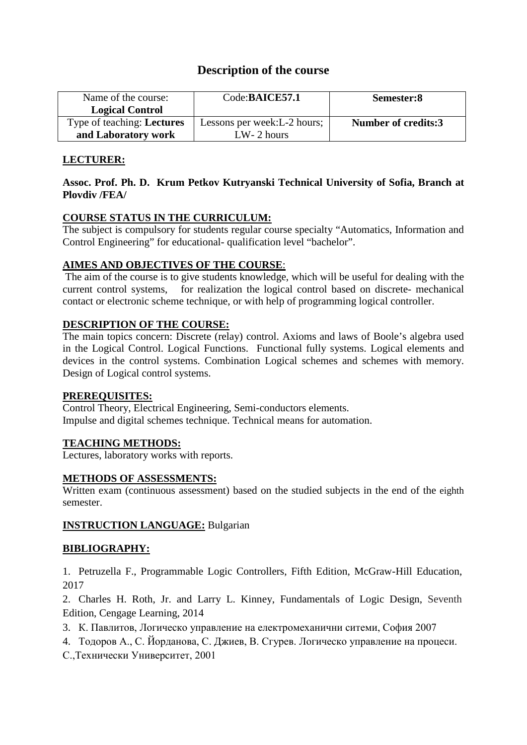# **Description of the course**

| Name of the course:               | Code:BAICE57.1               | Semester:8          |
|-----------------------------------|------------------------------|---------------------|
| <b>Logical Control</b>            |                              |                     |
| Type of teaching: <b>Lectures</b> | Lessons per week: L-2 hours; | Number of credits:3 |
| and Laboratory work               | $LW-2$ hours                 |                     |

# **LECTURER:**

## **Assoc. Prof. Ph. D. Krum Petkov Kutryanski Technical University of Sofia, Branch at Plovdiv /FEA/**

# **COURSE STATUS IN THE CURRICULUM:**

The subject is compulsory for students regular course specialty "Automatics, Information and Control Engineering" for educational- qualification level "bachelor".

# **AIMES AND OBJECTIVES OF THE COURSE**:

The aim of the course is to give students knowledge, which will be useful for dealing with the current control systems, for realization the logical control based on discrete- mechanical contact or electronic scheme technique, or with help of programming logical controller.

# **DESCRIPTION OF THE COURSE:**

The main topics concern: Discrete (relay) control. Axioms and laws of Boole's algebra used in the Logical Control. Logical Functions. Functional fully systems. Logical elements and devices in the control systems. Combination Logical schemes and schemes with memory. Design of Logical control systems.

## **PREREQUISITES:**

Control Theory, Electrical Engineering, Semi-conductors elements. Impulse and digital schemes technique. Technical means for automation.

## **TEACHING METHODS:**

Lectures, laboratory works with reports.

## **METHODS OF ASSESSMENTS:**

Written exam (continuous assessment) based on the studied subjects in the end of the eighth semester.

## **INSTRUCTION LANGUAGE:** Bulgarian

# **BIBLIOGRAPHY:**

1. Petruzella F., Programmable Logic Controllers, Fifth Edition, McGraw-Hill Education, 2017

2. Charles H. Roth, Jr. and Larry L. Kinney, Fundamentals of Logic Design, Seventh Edition, Cengage Learning, 2014

- 3. К. Павлитов, Логическо управление на електромеханични ситеми, София 2007
- 4. Тодоров А., С. Йорданова, С. Джиев, В. Сгурев. Логическо управление на процеси.

С.,Технически Университет, 2001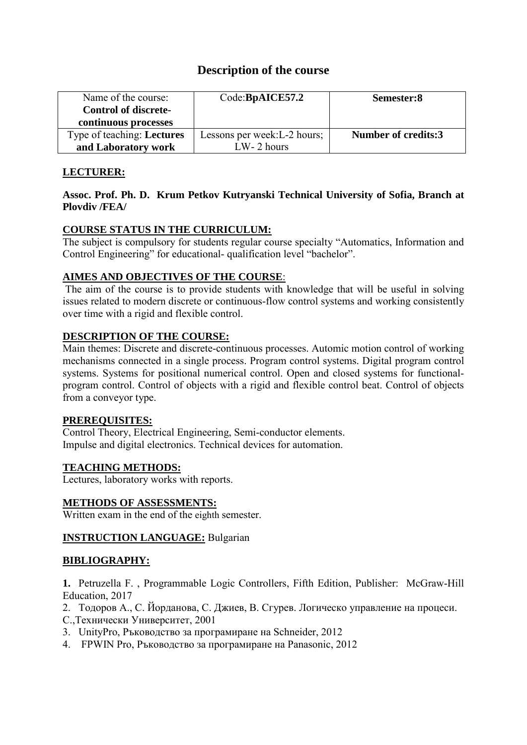# **Description of the course**

| Name of the course:<br><b>Control of discrete-</b> | Code:BpAICE57.2              | Semester:8                 |
|----------------------------------------------------|------------------------------|----------------------------|
| continuous processes                               |                              |                            |
| Type of teaching: <b>Lectures</b>                  | Lessons per week: L-2 hours; | <b>Number of credits:3</b> |
| and Laboratory work                                | $LW-2$ hours                 |                            |

# **LECTURER:**

# **Assoc. Prof. Ph. D. Krum Petkov Kutryanski Technical University of Sofia, Branch at Plovdiv /FEA/**

# **COURSE STATUS IN THE CURRICULUM:**

The subject is compulsory for students regular course specialty "Automatics, Information and Control Engineering" for educational- qualification level "bachelor".

# **AIMES AND OBJECTIVES OF THE COURSE**:

The aim of the course is to provide students with knowledge that will be useful in solving issues related to modern discrete or continuous-flow control systems and working consistently over time with a rigid and flexible control.

# **DESCRIPTION OF THE COURSE:**

Main themes: Discrete and discrete-continuous processes. Automic motion control of working mechanisms connected in a single process. Program control systems. Digital program control systems. Systems for positional numerical control. Open and closed systems for functionalprogram control. Control of objects with a rigid and flexible control beat. Control of objects from a conveyor type.

## **PREREQUISITES:**

Control Theory, Electrical Engineering, Semi-conductor elements. Impulse and digital electronics. Technical devices for automation.

# **TEACHING METHODS:**

Lectures, laboratory works with reports.

## **METHODS OF ASSESSMENTS:**

Written exam in the end of the eighth semester.

## **INSTRUCTION LANGUAGE:** Bulgarian

# **BIBLIOGRAPHY:**

**1.** Petruzella F. , Programmable Logic Controllers, Fifth Edition, Publisher: McGraw-Hill Education, 2017

- 2. Тодоров А., С. Йорданова, С. Джиев, В. Сгурев. Логическо управление на процеси.
- С.,Технически Университет, 2001
- 3. UnityPro, Ръководство за програмиране на Schneider, 2012
- 4. FPWIN Pro, Ръководство за програмиране на Panasonic, 2012